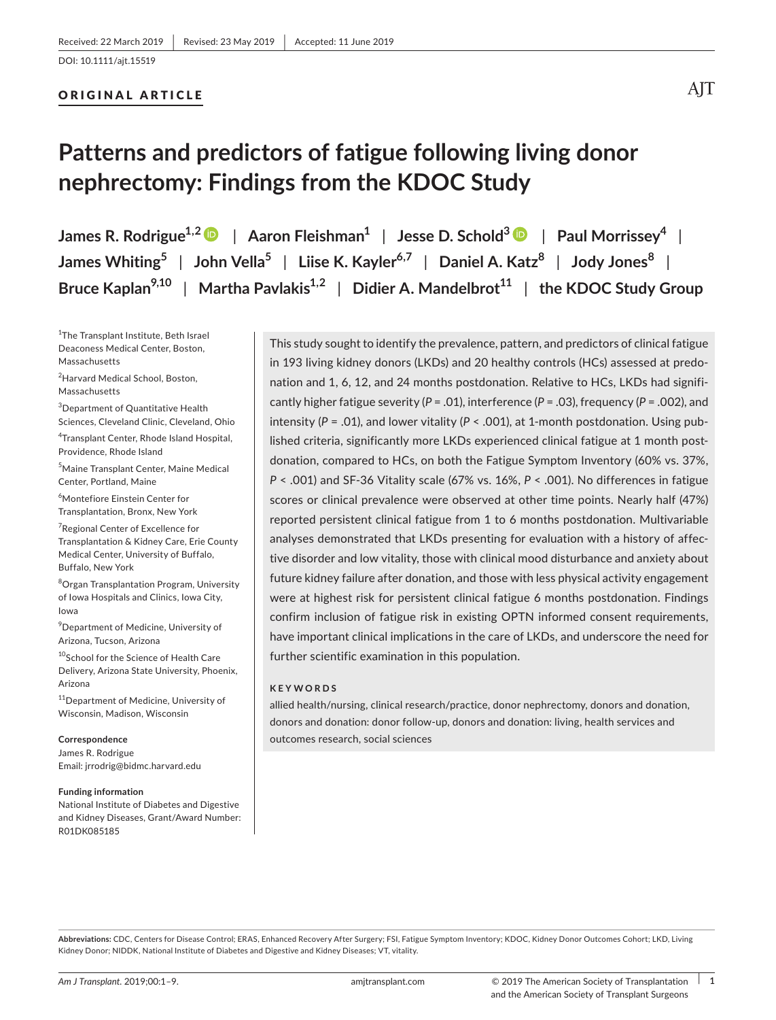#### ORIGINAL ARTICLE

## AIT

# **Patterns and predictors of fatigue following living donor nephrectomy: Findings from the KDOC Study**

**James R. Rodrigue1,[2](https://orcid.org/0000-0001-5589-4919)** | **Aaron Fleishman1** | **Jesse D. Schold[3](https://orcid.org/0000-0002-5341-7286)** | **Paul Morrissey4** | **James Whiting5** | **John Vella5** | **Liise K. Kayler6,7** | **Daniel A. Katz8** | **Jody Jones<sup>8</sup>** | **Bruce** Kaplan<sup>9,10</sup> | Martha Pavlakis<sup>1,2</sup> | Didier A. Mandelbrot<sup>11</sup> | the KDOC Study Group

<sup>1</sup>The Transplant Institute, Beth Israel Deaconess Medical Center, Boston, Massachusetts

2 Harvard Medical School, Boston, Massachusetts

3 Department of Quantitative Health Sciences, Cleveland Clinic, Cleveland, Ohio

4 Transplant Center, Rhode Island Hospital, Providence, Rhode Island

5 Maine Transplant Center, Maine Medical Center, Portland, Maine

6 Montefiore Einstein Center for Transplantation, Bronx, New York

7 Regional Center of Excellence for Transplantation & Kidney Care, Erie County Medical Center, University of Buffalo, Buffalo, New York

8 Organ Transplantation Program, University of Iowa Hospitals and Clinics, Iowa City, Iowa

 $^9$ Department of Medicine, University of Arizona, Tucson, Arizona

10School for the Science of Health Care Delivery, Arizona State University, Phoenix, Arizona

<sup>11</sup>Department of Medicine, University of Wisconsin, Madison, Wisconsin

#### **Correspondence**

James R. Rodrigue Email: [jrrodrig@bidmc.harvard.edu](mailto:jrrodrig@bidmc.harvard.edu)

#### **Funding information**

National Institute of Diabetes and Digestive and Kidney Diseases, Grant/Award Number: R01DK085185

This study sought to identify the prevalence, pattern, and predictors of clinical fatigue in 193 living kidney donors (LKDs) and 20 healthy controls (HCs) assessed at predonation and 1, 6, 12, and 24 months postdonation. Relative to HCs, LKDs had significantly higher fatigue severity (*P* = .01), interference (*P* = .03), frequency (*P* = .002), and intensity ( $P = .01$ ), and lower vitality ( $P < .001$ ), at 1-month postdonation. Using published criteria, significantly more LKDs experienced clinical fatigue at 1 month postdonation, compared to HCs, on both the Fatigue Symptom Inventory (60% vs. 37%, *P* < .001) and SF‐36 Vitality scale (67% vs. 16%, *P* < .001). No differences in fatigue scores or clinical prevalence were observed at other time points. Nearly half (47%) reported persistent clinical fatigue from 1 to 6 months postdonation. Multivariable analyses demonstrated that LKDs presenting for evaluation with a history of affective disorder and low vitality, those with clinical mood disturbance and anxiety about future kidney failure after donation, and those with less physical activity engagement were at highest risk for persistent clinical fatigue 6 months postdonation. Findings confirm inclusion of fatigue risk in existing OPTN informed consent requirements, have important clinical implications in the care of LKDs, and underscore the need for further scientific examination in this population.

#### **KEYWORDS**

allied health/nursing, clinical research/practice, donor nephrectomy, donors and donation, donors and donation: donor follow‐up, donors and donation: living, health services and outcomes research, social sciences

**Abbreviations:** CDC, Centers for Disease Control; ERAS, Enhanced Recovery After Surgery; FSI, Fatigue Symptom Inventory; KDOC, Kidney Donor Outcomes Cohort; LKD, Living Kidney Donor; NIDDK, National Institute of Diabetes and Digestive and Kidney Diseases; VT, vitality.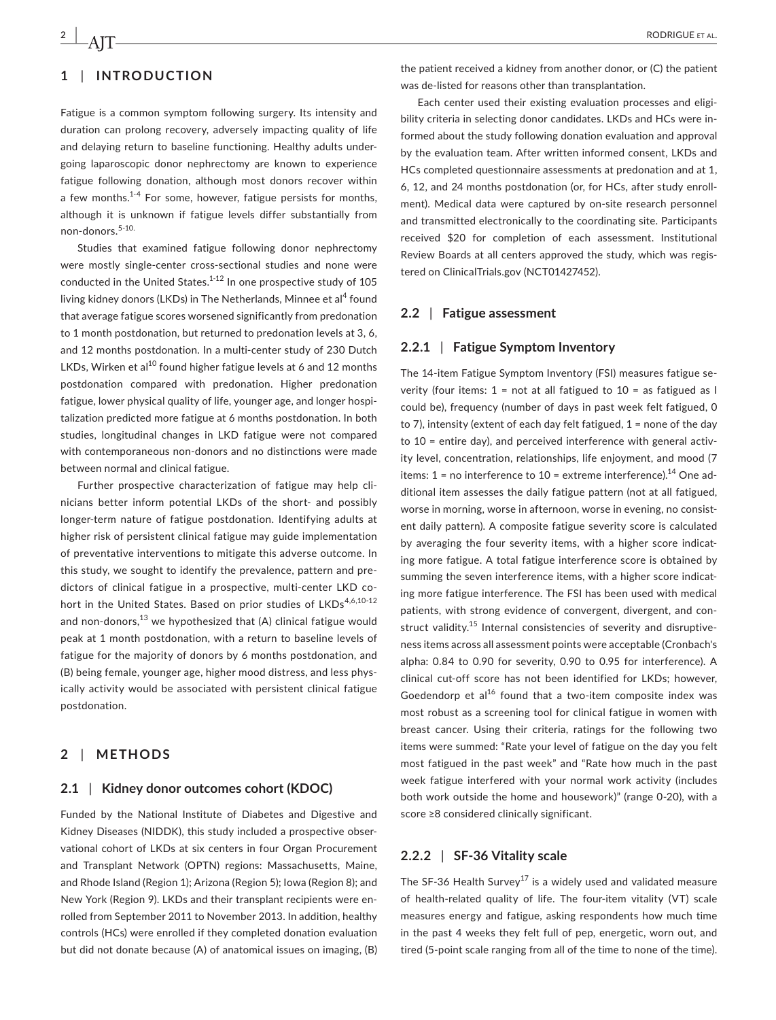## **1** | **INTRODUCTION**

Fatigue is a common symptom following surgery. Its intensity and duration can prolong recovery, adversely impacting quality of life and delaying return to baseline functioning. Healthy adults undergoing laparoscopic donor nephrectomy are known to experience fatigue following donation, although most donors recover within a few months.<sup>1-4</sup> For some, however, fatigue persists for months, although it is unknown if fatigue levels differ substantially from non-donors.5-10.

Studies that examined fatigue following donor nephrectomy were mostly single-center cross-sectional studies and none were conducted in the United States.<sup>1-12</sup> In one prospective study of 105 living kidney donors (LKDs) in The Netherlands, Minnee et al<sup>4</sup> found that average fatigue scores worsened significantly from predonation to 1 month postdonation, but returned to predonation levels at 3, 6, and 12 months postdonation. In a multi-center study of 230 Dutch LKDs, Wirken et al<sup>10</sup> found higher fatigue levels at 6 and 12 months postdonation compared with predonation. Higher predonation fatigue, lower physical quality of life, younger age, and longer hospitalization predicted more fatigue at 6 months postdonation. In both studies, longitudinal changes in LKD fatigue were not compared with contemporaneous non‐donors and no distinctions were made between normal and clinical fatigue.

Further prospective characterization of fatigue may help clinicians better inform potential LKDs of the short‐ and possibly longer‐term nature of fatigue postdonation. Identifying adults at higher risk of persistent clinical fatigue may guide implementation of preventative interventions to mitigate this adverse outcome. In this study, we sought to identify the prevalence, pattern and predictors of clinical fatigue in a prospective, multi-center LKD cohort in the United States. Based on prior studies of LKDs<sup>4,6,10-12</sup> and non-donors, $^{13}$  we hypothesized that (A) clinical fatigue would peak at 1 month postdonation, with a return to baseline levels of fatigue for the majority of donors by 6 months postdonation, and (B) being female, younger age, higher mood distress, and less physically activity would be associated with persistent clinical fatigue postdonation.

#### **2** | **METHODS**

#### **2.1** | **Kidney donor outcomes cohort (KDOC)**

Funded by the National Institute of Diabetes and Digestive and Kidney Diseases (NIDDK), this study included a prospective observational cohort of LKDs at six centers in four Organ Procurement and Transplant Network (OPTN) regions: Massachusetts, Maine, and Rhode Island (Region 1); Arizona (Region 5); Iowa (Region 8); and New York (Region 9). LKDs and their transplant recipients were enrolled from September 2011 to November 2013. In addition, healthy controls (HCs) were enrolled if they completed donation evaluation but did not donate because (A) of anatomical issues on imaging, (B)

the patient received a kidney from another donor, or (C) the patient was de-listed for reasons other than transplantation.

Each center used their existing evaluation processes and eligibility criteria in selecting donor candidates. LKDs and HCs were informed about the study following donation evaluation and approval by the evaluation team. After written informed consent, LKDs and HCs completed questionnaire assessments at predonation and at 1, 6, 12, and 24 months postdonation (or, for HCs, after study enrollment). Medical data were captured by on-site research personnel and transmitted electronically to the coordinating site. Participants received \$20 for completion of each assessment. Institutional Review Boards at all centers approved the study, which was registered on ClinicalTrials.gov (NCT01427452).

#### **2.2** | **Fatigue assessment**

#### **2.2.1** | **Fatigue Symptom Inventory**

The 14‐item Fatigue Symptom Inventory (FSI) measures fatigue severity (four items:  $1 = not$  at all fatigued to  $10 = as$  fatigued as I could be), frequency (number of days in past week felt fatigued, 0 to 7), intensity (extent of each day felt fatigued,  $1$  = none of the day to 10 = entire day), and perceived interference with general activity level, concentration, relationships, life enjoyment, and mood (7 items:  $1 =$  no interference to  $10 =$  extreme interference).<sup>14</sup> One additional item assesses the daily fatigue pattern (not at all fatigued, worse in morning, worse in afternoon, worse in evening, no consistent daily pattern). A composite fatigue severity score is calculated by averaging the four severity items, with a higher score indicating more fatigue. A total fatigue interference score is obtained by summing the seven interference items, with a higher score indicating more fatigue interference. The FSI has been used with medical patients, with strong evidence of convergent, divergent, and construct validity.<sup>15</sup> Internal consistencies of severity and disruptiveness items across all assessment points were acceptable (Cronbach's alpha: 0.84 to 0.90 for severity, 0.90 to 0.95 for interference). A clinical cut‐off score has not been identified for LKDs; however, Goedendorp et  $al^{16}$  found that a two-item composite index was most robust as a screening tool for clinical fatigue in women with breast cancer. Using their criteria, ratings for the following two items were summed: "Rate your level of fatigue on the day you felt most fatigued in the past week" and "Rate how much in the past week fatigue interfered with your normal work activity (includes both work outside the home and housework)" (range 0‐20), with a score ≥8 considered clinically significant.

#### **2.2.2** | **SF‐36 Vitality scale**

The SF-36 Health Survey<sup>17</sup> is a widely used and validated measure of health-related quality of life. The four-item vitality (VT) scale measures energy and fatigue, asking respondents how much time in the past 4 weeks they felt full of pep, energetic, worn out, and tired (5‐point scale ranging from all of the time to none of the time).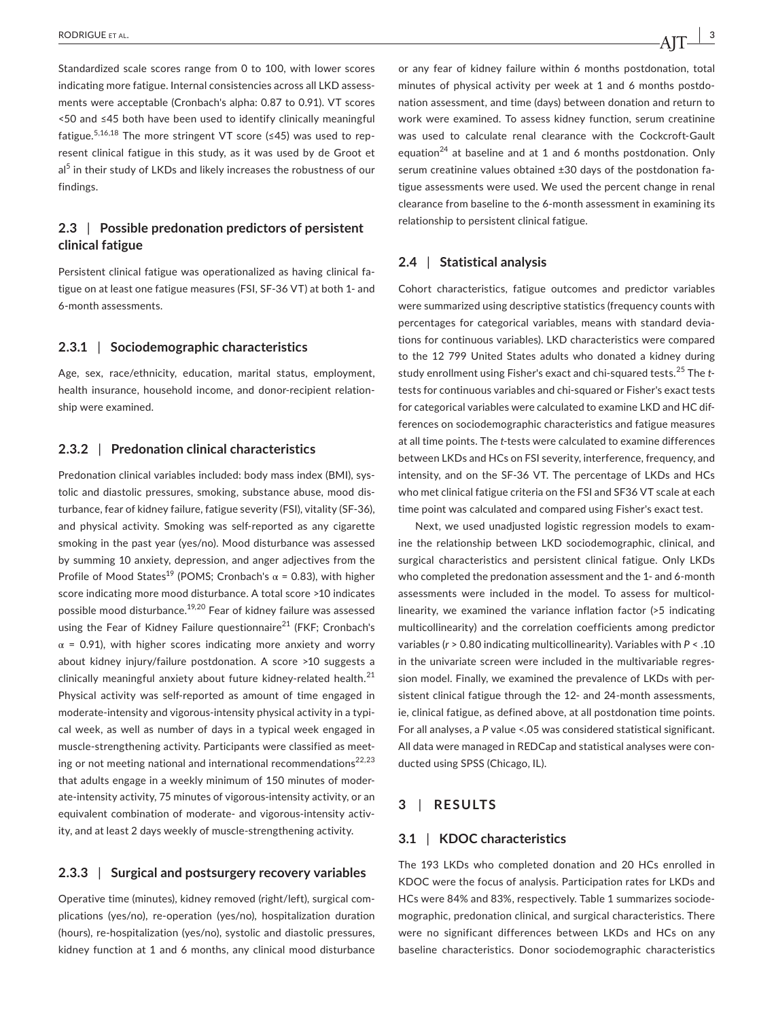Standardized scale scores range from 0 to 100, with lower scores indicating more fatigue. Internal consistencies across all LKD assessments were acceptable (Cronbach's alpha: 0.87 to 0.91). VT scores <50 and ≤45 both have been used to identify clinically meaningful fatigue.<sup>5,16,18</sup> The more stringent VT score (≤45) was used to represent clinical fatigue in this study, as it was used by de Groot et  $a<sup>5</sup>$  in their study of LKDs and likely increases the robustness of our findings.

## **2.3** | **Possible predonation predictors of persistent clinical fatigue**

Persistent clinical fatigue was operationalized as having clinical fatigue on at least one fatigue measures (FSI, SF‐36 VT) at both 1‐ and 6-month assessments.

### **2.3.1** | **Sociodemographic characteristics**

Age, sex, race/ethnicity, education, marital status, employment, health insurance, household income, and donor-recipient relationship were examined.

#### **2.3.2** | **Predonation clinical characteristics**

Predonation clinical variables included: body mass index (BMI), systolic and diastolic pressures, smoking, substance abuse, mood disturbance, fear of kidney failure, fatigue severity (FSI), vitality (SF‐36), and physical activity. Smoking was self‐reported as any cigarette smoking in the past year (yes/no). Mood disturbance was assessed by summing 10 anxiety, depression, and anger adjectives from the Profile of Mood States<sup>19</sup> (POMS; Cronbach's  $\alpha$  = 0.83), with higher score indicating more mood disturbance. A total score >10 indicates possible mood disturbance.<sup>19,20</sup> Fear of kidney failure was assessed using the Fear of Kidney Failure questionnaire<sup>21</sup> (FKF; Cronbach's  $\alpha$  = 0.91), with higher scores indicating more anxiety and worry about kidney injury/failure postdonation. A score >10 suggests a clinically meaningful anxiety about future kidney-related health.<sup>21</sup> Physical activity was self‐reported as amount of time engaged in moderate‐intensity and vigorous‐intensity physical activity in a typical week, as well as number of days in a typical week engaged in muscle‐strengthening activity. Participants were classified as meeting or not meeting national and international recommendations $22,23$ that adults engage in a weekly minimum of 150 minutes of moderate-intensity activity, 75 minutes of vigorous-intensity activity, or an equivalent combination of moderate- and vigorous-intensity activity, and at least 2 days weekly of muscle‐strengthening activity.

#### **2.3.3** | **Surgical and postsurgery recovery variables**

Operative time (minutes), kidney removed (right/left), surgical complications (yes/no), re‐operation (yes/no), hospitalization duration (hours), re‐hospitalization (yes/no), systolic and diastolic pressures, kidney function at 1 and 6 months, any clinical mood disturbance or any fear of kidney failure within 6 months postdonation, total minutes of physical activity per week at 1 and 6 months postdonation assessment, and time (days) between donation and return to work were examined. To assess kidney function, serum creatinine was used to calculate renal clearance with the Cockcroft-Gault equation<sup>24</sup> at baseline and at 1 and 6 months postdonation. Only serum creatinine values obtained ±30 days of the postdonation fatigue assessments were used. We used the percent change in renal clearance from baseline to the 6‐month assessment in examining its relationship to persistent clinical fatigue.

#### **2.4** | **Statistical analysis**

Cohort characteristics, fatigue outcomes and predictor variables were summarized using descriptive statistics (frequency counts with percentages for categorical variables, means with standard deviations for continuous variables). LKD characteristics were compared to the 12 799 United States adults who donated a kidney during study enrollment using Fisher's exact and chi‐squared tests.<sup>25</sup> The *t*tests for continuous variables and chi‐squared or Fisher's exact tests for categorical variables were calculated to examine LKD and HC differences on sociodemographic characteristics and fatigue measures at all time points. The *t*-tests were calculated to examine differences between LKDs and HCs on FSI severity, interference, frequency, and intensity, and on the SF‐36 VT. The percentage of LKDs and HCs who met clinical fatigue criteria on the FSI and SF36 VT scale at each time point was calculated and compared using Fisher's exact test.

Next, we used unadjusted logistic regression models to examine the relationship between LKD sociodemographic, clinical, and surgical characteristics and persistent clinical fatigue. Only LKDs who completed the predonation assessment and the 1- and 6-month assessments were included in the model. To assess for multicollinearity, we examined the variance inflation factor (>5 indicating multicollinearity) and the correlation coefficients among predictor variables (*r* > 0.80 indicating multicollinearity). Variables with *P* < .10 in the univariate screen were included in the multivariable regression model. Finally, we examined the prevalence of LKDs with persistent clinical fatigue through the 12‐ and 24‐month assessments, ie, clinical fatigue, as defined above, at all postdonation time points. For all analyses, a *P* value <.05 was considered statistical significant. All data were managed in REDCap and statistical analyses were conducted using SPSS (Chicago, IL).

#### **3** | **RESULTS**

#### **3.1** | **KDOC characteristics**

The 193 LKDs who completed donation and 20 HCs enrolled in KDOC were the focus of analysis. Participation rates for LKDs and HCs were 84% and 83%, respectively. Table 1 summarizes sociodemographic, predonation clinical, and surgical characteristics. There were no significant differences between LKDs and HCs on any baseline characteristics. Donor sociodemographic characteristics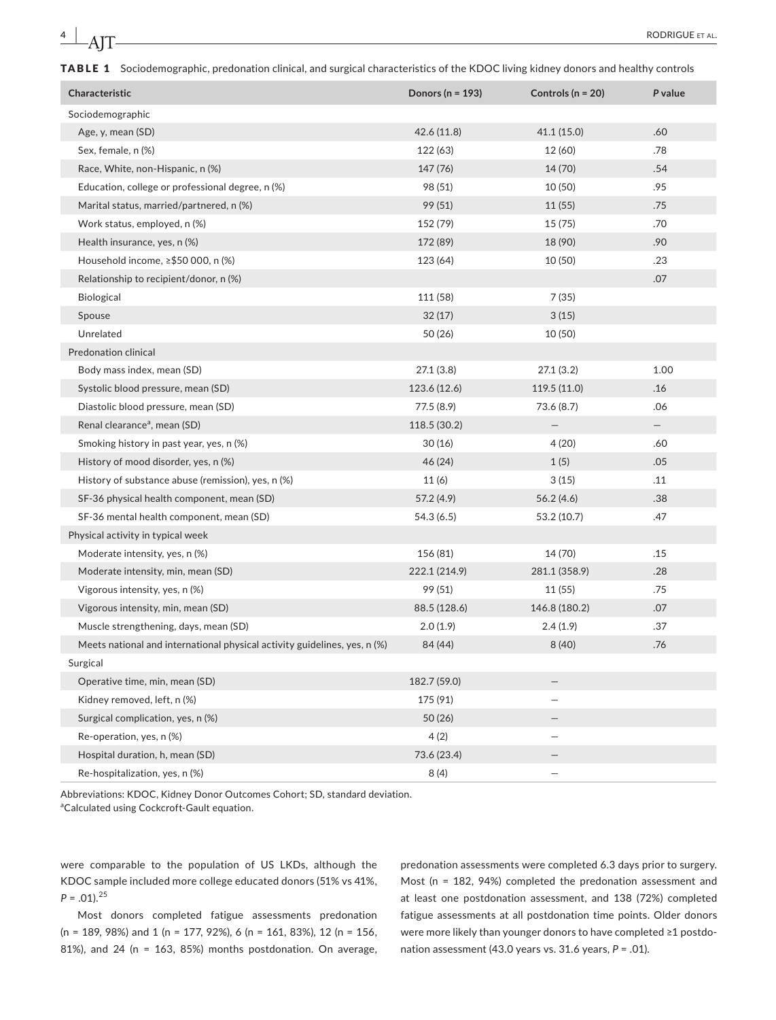TABLE 1 Sociodemographic, predonation clinical, and surgical characteristics of the KDOC living kidney donors and healthy controls

| Characteristic                                                            | Donors ( $n = 193$ ) | Controls ( $n = 20$ ) | P value           |
|---------------------------------------------------------------------------|----------------------|-----------------------|-------------------|
| Sociodemographic                                                          |                      |                       |                   |
| Age, y, mean (SD)                                                         | 42.6 (11.8)          | 41.1(15.0)            | .60               |
| Sex, female, n (%)                                                        | 122 (63)             | 12 (60)               | .78               |
| Race, White, non-Hispanic, n (%)                                          | 147 (76)             | 14 (70)               | .54               |
| Education, college or professional degree, n (%)                          | 98 (51)              | 10(50)                | .95               |
| Marital status, married/partnered, n (%)                                  | 99 (51)              | 11(55)                | .75               |
| Work status, employed, n (%)                                              | 152 (79)             | 15(75)                | .70               |
| Health insurance, yes, n (%)                                              | 172 (89)             | 18 (90)               | .90               |
| Household income, ≥\$50 000, n (%)                                        | 123 (64)             | 10(50)                | .23               |
| Relationship to recipient/donor, n (%)                                    |                      |                       | .07               |
| Biological                                                                | 111 (58)             | 7 (35)                |                   |
| Spouse                                                                    | 32(17)               | 3(15)                 |                   |
| Unrelated                                                                 | 50 (26)              | 10(50)                |                   |
| <b>Predonation clinical</b>                                               |                      |                       |                   |
| Body mass index, mean (SD)                                                | 27.1(3.8)            | 27.1(3.2)             | 1.00              |
| Systolic blood pressure, mean (SD)                                        | 123.6 (12.6)         | 119.5(11.0)           | .16               |
| Diastolic blood pressure, mean (SD)                                       | 77.5 (8.9)           | 73.6(8.7)             | .06               |
| Renal clearance <sup>a</sup> , mean (SD)                                  | 118.5 (30.2)         | —                     | $\qquad \qquad -$ |
| Smoking history in past year, yes, n (%)                                  | 30(16)               | 4(20)                 | .60               |
| History of mood disorder, yes, n (%)                                      | 46 (24)              | 1(5)                  | .05               |
| History of substance abuse (remission), yes, n (%)                        | 11(6)                | 3(15)                 | .11               |
| SF-36 physical health component, mean (SD)                                | 57.2 (4.9)           | 56.2(4.6)             | .38               |
| SF-36 mental health component, mean (SD)                                  | 54.3(6.5)            | 53.2 (10.7)           | .47               |
| Physical activity in typical week                                         |                      |                       |                   |
| Moderate intensity, yes, n (%)                                            | 156 (81)             | 14 (70)               | .15               |
| Moderate intensity, min, mean (SD)                                        | 222.1 (214.9)        | 281.1 (358.9)         | .28               |
| Vigorous intensity, yes, n (%)                                            | 99 (51)              | 11 (55)               | .75               |
| Vigorous intensity, min, mean (SD)                                        | 88.5 (128.6)         | 146.8 (180.2)         | .07               |
| Muscle strengthening, days, mean (SD)                                     | 2.0(1.9)             | 2.4(1.9)              | .37               |
| Meets national and international physical activity guidelines, yes, n (%) | 84 (44)              | 8(40)                 | .76               |
| Surgical                                                                  |                      |                       |                   |
| Operative time, min, mean (SD)                                            | 182.7 (59.0)         | —                     |                   |
| Kidney removed, left, n (%)                                               | 175 (91)             |                       |                   |
| Surgical complication, yes, n (%)                                         | 50 (26)              |                       |                   |
| Re-operation, yes, n (%)                                                  | 4(2)                 |                       |                   |
| Hospital duration, h, mean (SD)                                           | 73.6 (23.4)          |                       |                   |
| Re-hospitalization, yes, n (%)                                            | 8(4)                 |                       |                   |

Abbreviations: KDOC, Kidney Donor Outcomes Cohort; SD, standard deviation.

aCalculated using Cockcroft-Gault equation.

were comparable to the population of US LKDs, although the KDOC sample included more college educated donors (51% vs 41%,  $P = .01$ ).<sup>25</sup>

Most donors completed fatigue assessments predonation (n = 189, 98%) and 1 (n = 177, 92%), 6 (n = 161, 83%), 12 (n = 156, 81%), and 24 (n = 163, 85%) months postdonation. On average,

predonation assessments were completed 6.3 days prior to surgery. Most (n = 182, 94%) completed the predonation assessment and at least one postdonation assessment, and 138 (72%) completed fatigue assessments at all postdonation time points. Older donors were more likely than younger donors to have completed ≥1 postdonation assessment (43.0 years vs. 31.6 years, *P* = .01).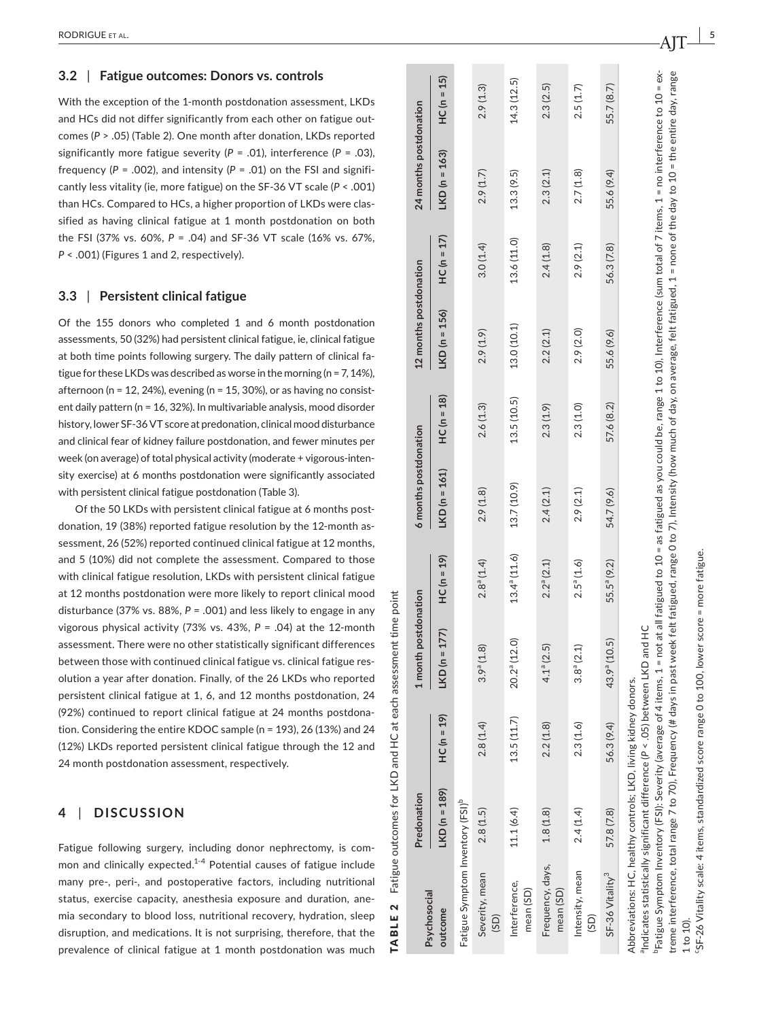#### **3.2**  | **Fatigue outcomes: Donors vs. controls**

With the exception of the 1-month postdonation assessment, LKDs and HCs did not differ significantly from each other on fatigue out comes ( *P* > .05) (Table 2). One month after donation, LKDs reported significantly more fatigue severity ( *P* = .01), interference ( *P* = .03), frequency (P = .002), and intensity (P = .01) on the FSI and significantly less vitality (ie, more fatigue) on the SF‐36 VT scale ( *P* < .001) than HCs. Compared to HCs, a higher proportion of LKDs were clas sified as having clinical fatigue at 1 month postdonation on both the FSI (37% vs. 60%, *P* = .04) and SF‐36 VT scale (16% vs. 67%, *P* < .001) (Figures 1 and 2, respectively).

#### **3.3**  | **Persistent clinical fatigue**

Of the 155 donors who completed 1 and 6 month postdonation assessments, 50 (32%) had persistent clinical fatigue, ie, clinical fatigue at both time points following surgery. The daily pattern of clinical fa tigue for these LKDs was described as worse in the morning (n = 7, 14%), afternoon (n = 12, 24%), evening (n = 15, 30%), or as having no consistent daily pattern (n = 16, 32%). In multivariable analysis, mood disorder history, lower SF‐36VT score at predonation, clinical mood disturbance and clinical fear of kidney failure postdonation, and fewer minutes per week (on average) of total physical activity (moderate + vigorous-intensity exercise) at 6 months postdonation were significantly associated with persistent clinical fatigue postdonation (Table 3).

Of the 50 LKDs with persistent clinical fatigue at 6 months post donation, 19 (38%) reported fatigue resolution by the 12‐month as sessment, 26 (52%) reported continued clinical fatigue at 12 months, and 5 (10%) did not complete the assessment. Compared to those with clinical fatigue resolution, LKDs with persistent clinical fatigue at 12 months postdonation were more likely to report clinical mood disturbance (37% vs. 88%, *P* = .001) and less likely to engage in any vigorous physical activity (73% vs. 43%, *P* = .04) at the 12‐month assessment. There were no other statistically significant differences between those with continued clinical fatigue vs. clinical fatigue res olution a year after donation. Finally, of the 26 LKDs who reported persistent clinical fatigue at 1, 6, and 12 months postdonation, 24 (92%) continued to report clinical fatigue at 24 months postdona tion. Considering the entire KDOC sample (n = 193), 26 (13%) and 24 (12%) LKDs reported persistent clinical fatigue through the 12 and 24 month postdonation assessment, respectively.

#### **4**  | **DISCUSSION**

Fatigue following surgery, including donor nephrectomy, is com mon and clinically expected. $1-4$  Potential causes of fatigue include many pre-, peri-, and postoperative factors, including nutritional status, exercise capacity, anesthesia exposure and duration, ane mia secondary to blood loss, nutritional recovery, hydration, sleep disruption, and medications. It is not surprising, therefore, that the prevalence of clinical fatigue at 1 month postdonation was much

 $HC (n = 15)$ LKD (n = 139) HC (n = 177) HC (n = 177) LKD (n = 1401) HC (n = 150 LN = 156) HC (n = 170 HC (n = 140 HC (n = 15  $\widehat{10}$ 11.1 (6.4) 13.5 (11.7) 20.2<sup>a</sup> (12.6) 13.7 (12.6) 13.5 (10.5) 13.5 (10.5) 13.6 (10.1) 13.6 (11.0) 13.3 (9.5) 14.3 (12.5)  $(8.7)$  $(1.3)$ 5 2.8 (1.5) 2.8 (1.4) 3.9a (1.8) 2.8a (1.4) 2.9 (1.8) 2.6 (1.3) 2.9 (1.9) 3.0 (1.4) 2.9 (1.7) 2.9 (1.3) 1.8 (1.8)  $4.1^8$  (2.5)  $2.2^9$  (2.1)  $2.4$  (2.1)  $2.3$  (2.1)  $2.4$  (1.8)  $2.4$  (1.8)  $2.3$  (2.5)  $2.5(1.7)$  $2.4 \, (1.4)$   $2.3 \, (1.6)$   $3.8^\circ \, (2.1)$   $2.9 \, (1.6)$   $2.9 \, (1.6)$   $2.9 \, (2.1)$   $2.9 \, (2.1)$   $2.5 \, (1.7)$ SF–36 Vitality<sup>3</sup> 57.8 (7.8) 56.3 (9.4) 43.9° (10.5) 54.7 (9.6) 57.6 (8.2) 55.6 (9.6) 55.6 (9.4) 55.6 (9.4) 55.7 (8.7) 14.3 (12.  $\ddot{\Omega}$ 24 months postdonation 55.7 **Predonation 1 month postdonation 6 months postdonation 12 months postdonation 24 months postdonation**  $2.9$  $2.3$  $LKD(n = 163)$  $(2.1)$  $(1.7)$  $13.3(9.5)$  $2.7(1.8)$  $(9.4)$  $2.9$  $2.3$ 55.6  $HC(n = 17)$  $13.6(11.0)$  $3.0(1.4)$  $2.4(1.8)$  $(2.1)$ 56.3 (7.8) 12 months postdonation 2.9  $LKD(n = 156)$ 13.0 (10.1) 2.9 (2.0)  $2.9(1.9)$  $2.2(2.1)$ 55.6 (9.6)  $HC(n = 18)$ 13.5 (10.5)  $2.6(1.3)$  $2.3(1.0)$ 57.6 (8.2)  $2.3(1.9)$ 5 months postdonation  $LKD(n = 161)$ 13.7 (10.9)  $2.4(2.1)$  $2.9(2.1)$ 54.7 (9.6)  $2.9(1.8)$  $13.4^a(11.6)$  $HC(n = 19)$  $2.8^a(1.4)$  $2.2^a(2.1)$  $2.5^a(1.6)$ 55.5<sup>ª</sup> (9.2) month postdonation <sup>a</sup>Indicates statistically significant difference (P < .05) between LKD and HC aIndicates statistically significant difference (*P* < .05) between LKD and HC  $LKD(n = 177)$  $20.2^a(12.0)$ 43.9<sup>ª</sup> (10.5)  $3.9^{a}(1.8)$  $4.1<sup>a</sup> (2.5)$  $3.8^a(2.1)$ Abbreviations: HC, healthy controls; LKD, living kidney donors. Abbreviations: HC, healthy controls; LKD, living kidney donors.  $HC(n = 19)$  $13.5(11.7)$  $2.3(1.6)$  $2.2(1.8)$  $2.8(1.4)$ 56.3 (9.4)  $LKD(n = 189)$ Predonation Fatigue Symptom Inventory (FSI)<sup>b</sup> Fatigue Symptom Inventory  $(FSI)^b$  $2.8(1.5)$ 11.1 (6.4)  $1.8(1.8)$  $2.4(1.4)$ 57.8 (7.8) Frequency, days, Frequency, days, Intensity, mean Intensity, mean SF-36 Vitality<sup>3</sup> Severity, mean Severity, mean Interference, Interference, **Psychosocial**  mean (SD) mean (SD) Psychosocial outcome **outcome** (SD) (SD)

TABLE 2 Fatigue outcomes for LKD and HC at each assessment time point

 $\mathbf{\Omega}$ 

TABLE

Fatigue outcomes for LKD and HC at each assessment time point

Pratigue Symptom Inventory (FSI): Severity (average of 4 items, 1 = not at all fatigued to 10 = as fatigued as you could be, range 1 to 10), Interference (sum total of 7 items, 1 = no interference to 10 = extreme interference, total range 7 to 70), Frequency (# days in past week felt fatigued, range 0 to 7), Intensity (how much of day, on average, felt fatigued, 1 = none of the day to 10 = the entire day, range bFatigue Symptom Inventory (FSI): Severity (average of 4 items, 1 = not at all fatigued to 10 = as fatigued as you could be, range 1 to 10), Interference (sum total of 7 items, 1 = no interference to 10 = extreme interference, total range 7 to 70), Frequency (# days in past week felt fatigued, range 0 to 7), Intensity (how much of day, on average, felt fatigued, 1 = none of the day to 10 = the entire day, range 1 to 10).

5F-26 Vitality scale: 4 items, standardized score range 0 to 100, lower score = more fatigue cSF‐26 Vitality scale: 4 items, standardized score range 0 to 100, lower score = more fatigue.

 $AT -$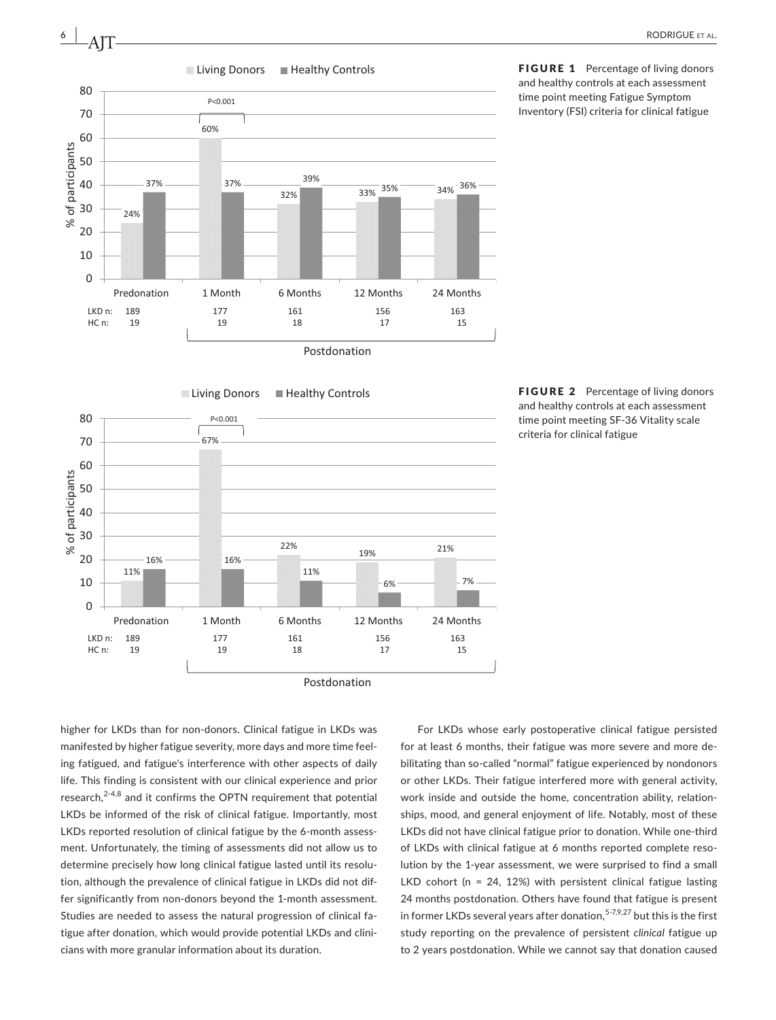



higher for LKDs than for non‐donors. Clinical fatigue in LKDs was manifested by higher fatigue severity, more days and more time feeling fatigued, and fatigue's interference with other aspects of daily life. This finding is consistent with our clinical experience and prior research, $2-4,8$  and it confirms the OPTN requirement that potential LKDs be informed of the risk of clinical fatigue. Importantly, most LKDs reported resolution of clinical fatigue by the 6-month assessment. Unfortunately, the timing of assessments did not allow us to determine precisely how long clinical fatigue lasted until its resolution, although the prevalence of clinical fatigue in LKDs did not differ significantly from non‐donors beyond the 1‐month assessment. Studies are needed to assess the natural progression of clinical fatigue after donation, which would provide potential LKDs and clinicians with more granular information about its duration.

For LKDs whose early postoperative clinical fatigue persisted for at least 6 months, their fatigue was more severe and more debilitating than so-called "normal" fatigue experienced by nondonors or other LKDs. Their fatigue interfered more with general activity, work inside and outside the home, concentration ability, relationships, mood, and general enjoyment of life. Notably, most of these LKDs did not have clinical fatigue prior to donation. While one-third of LKDs with clinical fatigue at 6 months reported complete resolution by the 1‐year assessment, we were surprised to find a small LKD cohort (n = 24, 12%) with persistent clinical fatigue lasting 24 months postdonation. Others have found that fatigue is present in former LKDs several years after donation, $5-7,9,27$  but this is the first study reporting on the prevalence of persistent *clinical* fatigue up to 2 years postdonation. While we cannot say that donation caused

FIGURE 1 Percentage of living donors and healthy controls at each assessment time point meeting Fatigue Symptom Inventory (FSI) criteria for clinical fatigue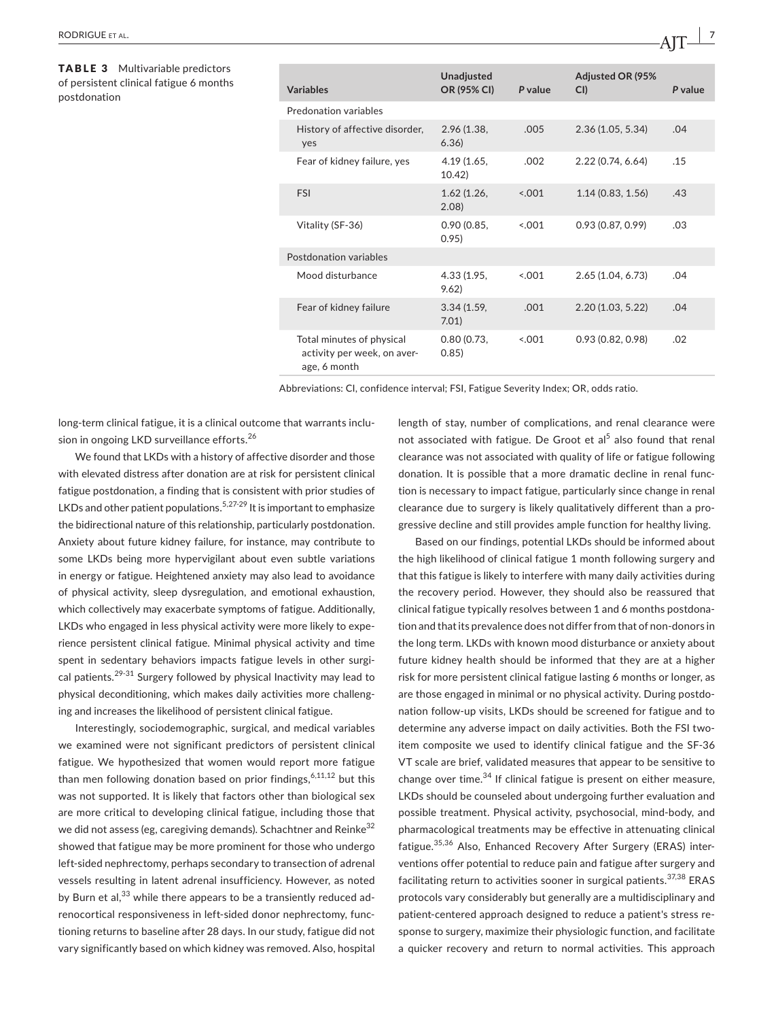TABLE 3 Multivariable predictors of persistent clinical fatigue 6 months postdonation

| <b>Variables</b>                                                         | <b>Unadjusted</b><br>OR (95% CI) | P value | <b>Adjusted OR (95%</b><br>CI | P value |
|--------------------------------------------------------------------------|----------------------------------|---------|-------------------------------|---------|
| Predonation variables                                                    |                                  |         |                               |         |
| History of affective disorder,<br>yes                                    | 2.96(1.38,<br>6.36               | .005    | 2.36 (1.05, 5.34)             | .04     |
| Fear of kidney failure, yes                                              | 4.19(1.65,<br>10.42              | .002    | 2.22(0.74, 6.64)              | .15     |
| <b>FSI</b>                                                               | 1.62(1.26,<br>2.08               | < 0.01  | 1.14(0.83, 1.56)              | .43     |
| Vitality (SF-36)                                                         | 0.90(0.85,<br>0.95)              | 0.001   | 0.93(0.87, 0.99)              | .03     |
| Postdonation variables                                                   |                                  |         |                               |         |
| Mood disturbance                                                         | 4.33 (1.95,<br>9.62)             | 0.001   | 2.65(1.04, 6.73)              | .04     |
| Fear of kidney failure                                                   | 3.34(1.59,<br>7.01               | .001    | 2.20(1.03, 5.22)              | .04     |
| Total minutes of physical<br>activity per week, on aver-<br>age, 6 month | 0.80(0.73,<br>0.85)              | < 0.01  | 0.93(0.82, 0.98)              | .02     |

Abbreviations: CI, confidence interval; FSI, Fatigue Severity Index; OR, odds ratio.

long-term clinical fatigue, it is a clinical outcome that warrants inclusion in ongoing LKD surveillance efforts.<sup>26</sup>

We found that LKDs with a history of affective disorder and those with elevated distress after donation are at risk for persistent clinical fatigue postdonation, a finding that is consistent with prior studies of LKDs and other patient populations.<sup>5,27-29</sup> It is important to emphasize the bidirectional nature of this relationship, particularly postdonation. Anxiety about future kidney failure, for instance, may contribute to some LKDs being more hypervigilant about even subtle variations in energy or fatigue. Heightened anxiety may also lead to avoidance of physical activity, sleep dysregulation, and emotional exhaustion, which collectively may exacerbate symptoms of fatigue. Additionally, LKDs who engaged in less physical activity were more likely to experience persistent clinical fatigue. Minimal physical activity and time spent in sedentary behaviors impacts fatigue levels in other surgical patients.<sup>29-31</sup> Surgery followed by physical Inactivity may lead to physical deconditioning, which makes daily activities more challenging and increases the likelihood of persistent clinical fatigue.

Interestingly, sociodemographic, surgical, and medical variables we examined were not significant predictors of persistent clinical fatigue. We hypothesized that women would report more fatigue than men following donation based on prior findings,  $6,11,12$  but this was not supported. It is likely that factors other than biological sex are more critical to developing clinical fatigue, including those that we did not assess (eg, caregiving demands). Schachtner and Reinke<sup>32</sup> showed that fatigue may be more prominent for those who undergo left-sided nephrectomy, perhaps secondary to transection of adrenal vessels resulting in latent adrenal insufficiency. However, as noted by Burn et al,<sup>33</sup> while there appears to be a transiently reduced adrenocortical responsiveness in left‐sided donor nephrectomy, functioning returns to baseline after 28 days. In our study, fatigue did not vary significantly based on which kidney was removed. Also, hospital length of stay, number of complications, and renal clearance were not associated with fatigue. De Groot et al<sup>5</sup> also found that renal clearance was not associated with quality of life or fatigue following donation. It is possible that a more dramatic decline in renal function is necessary to impact fatigue, particularly since change in renal clearance due to surgery is likely qualitatively different than a progressive decline and still provides ample function for healthy living.

Based on our findings, potential LKDs should be informed about the high likelihood of clinical fatigue 1 month following surgery and that this fatigue is likely to interfere with many daily activities during the recovery period. However, they should also be reassured that clinical fatigue typically resolves between 1 and 6 months postdonation and that its prevalence does not differ from that of non-donors in the long term. LKDs with known mood disturbance or anxiety about future kidney health should be informed that they are at a higher risk for more persistent clinical fatigue lasting 6 months or longer, as are those engaged in minimal or no physical activity. During postdonation follow‐up visits, LKDs should be screened for fatigue and to determine any adverse impact on daily activities. Both the FSI twoitem composite we used to identify clinical fatigue and the SF‐36 VT scale are brief, validated measures that appear to be sensitive to change over time. $34$  If clinical fatigue is present on either measure, LKDs should be counseled about undergoing further evaluation and possible treatment. Physical activity, psychosocial, mind‐body, and pharmacological treatments may be effective in attenuating clinical fatigue.35,36 Also, Enhanced Recovery After Surgery (ERAS) interventions offer potential to reduce pain and fatigue after surgery and facilitating return to activities sooner in surgical patients.  $37,38$  ERAS protocols vary considerably but generally are a multidisciplinary and patient-centered approach designed to reduce a patient's stress response to surgery, maximize their physiologic function, and facilitate a quicker recovery and return to normal activities. This approach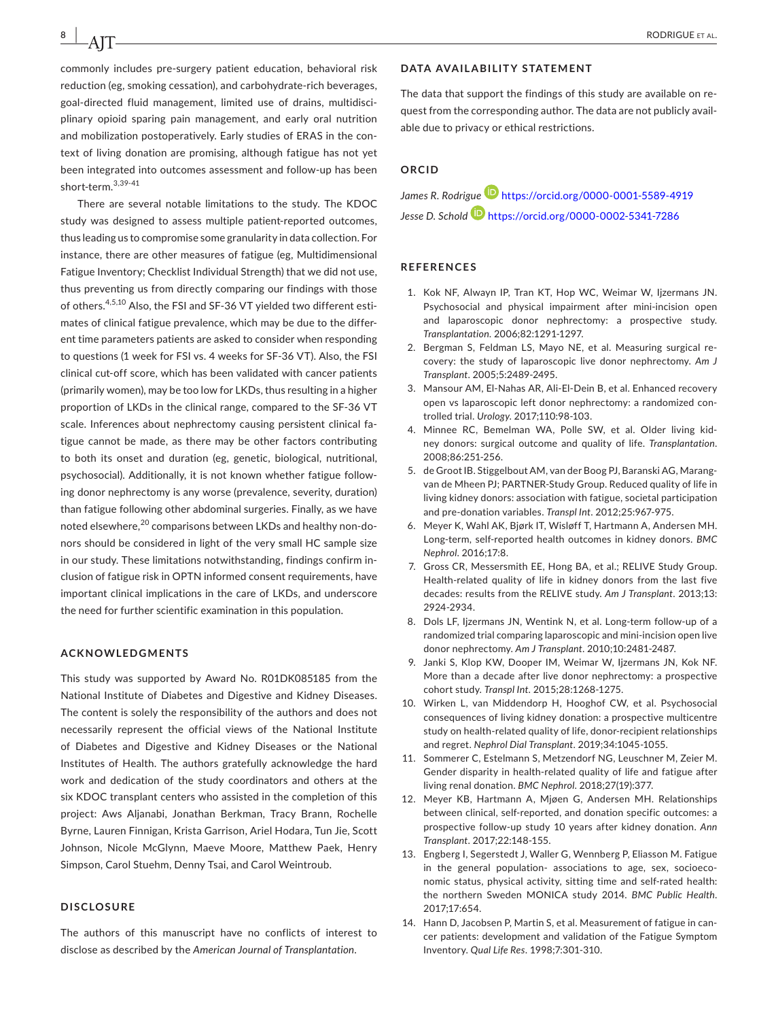commonly includes pre‐surgery patient education, behavioral risk reduction (eg, smoking cessation), and carbohydrate‐rich beverages, goal‐directed fluid management, limited use of drains, multidisciplinary opioid sparing pain management, and early oral nutrition and mobilization postoperatively. Early studies of ERAS in the context of living donation are promising, although fatigue has not yet been integrated into outcomes assessment and follow‐up has been short-term.3,39-41

There are several notable limitations to the study. The KDOC study was designed to assess multiple patient‐reported outcomes, thus leading us to compromise some granularity in data collection. For instance, there are other measures of fatigue (eg, Multidimensional Fatigue Inventory; Checklist Individual Strength) that we did not use, thus preventing us from directly comparing our findings with those of others.<sup>4,5,10</sup> Also, the FSI and SF-36 VT yielded two different estimates of clinical fatigue prevalence, which may be due to the different time parameters patients are asked to consider when responding to questions (1 week for FSI vs. 4 weeks for SF‐36 VT). Also, the FSI clinical cut‐off score, which has been validated with cancer patients (primarily women), may be too low for LKDs, thus resulting in a higher proportion of LKDs in the clinical range, compared to the SF‐36 VT scale. Inferences about nephrectomy causing persistent clinical fatigue cannot be made, as there may be other factors contributing to both its onset and duration (eg, genetic, biological, nutritional, psychosocial). Additionally, it is not known whether fatigue following donor nephrectomy is any worse (prevalence, severity, duration) than fatigue following other abdominal surgeries. Finally, as we have noted elsewhere,<sup>20</sup> comparisons between LKDs and healthy non-donors should be considered in light of the very small HC sample size in our study. These limitations notwithstanding, findings confirm inclusion of fatigue risk in OPTN informed consent requirements, have important clinical implications in the care of LKDs, and underscore the need for further scientific examination in this population.

#### **ACKNOWLEDGMENTS**

This study was supported by Award No. R01DK085185 from the National Institute of Diabetes and Digestive and Kidney Diseases. The content is solely the responsibility of the authors and does not necessarily represent the official views of the National Institute of Diabetes and Digestive and Kidney Diseases or the National Institutes of Health. The authors gratefully acknowledge the hard work and dedication of the study coordinators and others at the six KDOC transplant centers who assisted in the completion of this project: Aws Aljanabi, Jonathan Berkman, Tracy Brann, Rochelle Byrne, Lauren Finnigan, Krista Garrison, Ariel Hodara, Tun Jie, Scott Johnson, Nicole McGlynn, Maeve Moore, Matthew Paek, Henry Simpson, Carol Stuehm, Denny Tsai, and Carol Weintroub.

#### **DISCLOSURE**

The authors of this manuscript have no conflicts of interest to disclose as described by the *American Journal of Transplantation*.

#### **DATA AVAILABILITY STATEMENT**

The data that support the findings of this study are available on request from the corresponding author. The data are not publicly available due to privacy or ethical restrictions.

#### **ORCID**

*James R. Rodrigue* <https://orcid.org/0000-0001-5589-4919> *Jesse D. Schol[d](https://orcid.org/0000-0002-5341-7286)* <https://orcid.org/0000-0002-5341-7286>

#### **REFERENCES**

- 1. Kok NF, Alwayn IP, Tran KT, Hop WC, Weimar W, Iizermans JN, Psychosocial and physical impairment after mini‐incision open and laparoscopic donor nephrectomy: a prospective study. *Transplantation*. 2006;82:1291-1297.
- 2. Bergman S, Feldman LS, Mayo NE, et al. Measuring surgical recovery: the study of laparoscopic live donor nephrectomy. *Am J Transplant*. 2005;5:2489-2495.
- 3. Mansour AM, El-Nahas AR, Ali-El-Dein B, et al. Enhanced recovery open vs laparoscopic left donor nephrectomy: a randomized controlled trial. *Urology*. 2017;110:98‐103.
- 4. Minnee RC, Bemelman WA, Polle SW, et al. Older living kidney donors: surgical outcome and quality of life. *Transplantation*. 2008;86:251-256.
- 5. de Groot IB. Stiggelbout AM, van der Boog PJ, Baranski AG, Marangvan de Mheen PJ; PARTNER‐Study Group. Reduced quality of life in living kidney donors: association with fatigue, societal participation and pre‐donation variables. *Transpl Int*. 2012;25:967-975.
- 6. Meyer K, Wahl AK, Bjørk IT, Wisløff T, Hartmann A, Andersen MH. Long‐term, self‐reported health outcomes in kidney donors. *BMC Nephrol*. 2016;17:8.
- 7. Gross CR, Messersmith EE, Hong BA, et al.; RELIVE Study Group. Health-related quality of life in kidney donors from the last five decades: results from the RELIVE study. *Am J Transplant*. 2013;13: 2924‐2934.
- 8. Dols LF, Ijzermans JN, Wentink N, et al. Long-term follow-up of a randomized trial comparing laparoscopic and mini‐incision open live donor nephrectomy. *Am J Transplant*. 2010;10:2481-2487.
- 9. Janki S, Klop KW, Dooper IM, Weimar W, Ijzermans JN, Kok NF. More than a decade after live donor nephrectomy: a prospective cohort study. *Transpl Int*. 2015;28:1268-1275.
- 10. Wirken L, van Middendorp H, Hooghof CW, et al. Psychosocial consequences of living kidney donation: a prospective multicentre study on health-related quality of life, donor-recipient relationships and regret. *Nephrol Dial Transplant*. 2019;34:1045‐1055.
- 11. Sommerer C, Estelmann S, Metzendorf NG, Leuschner M, Zeier M. Gender disparity in health‐related quality of life and fatigue after living renal donation. *BMC Nephrol*. 2018;27(19):377.
- 12. Meyer KB, Hartmann A, Mjøen G, Andersen MH. Relationships between clinical, self‐reported, and donation specific outcomes: a prospective follow‐up study 10 years after kidney donation. *Ann Transplant*. 2017;22:148-155.
- 13. Engberg I, Segerstedt J, Waller G, Wennberg P, Eliasson M. Fatigue in the general population‐ associations to age, sex, socioeconomic status, physical activity, sitting time and self‐rated health: the northern Sweden MONICA study 2014. *BMC Public Health*. 2017;17:654.
- 14. Hann D, Jacobsen P, Martin S, et al. Measurement of fatigue in cancer patients: development and validation of the Fatigue Symptom Inventory. *Qual Life Res*. 1998;7:301‐310.